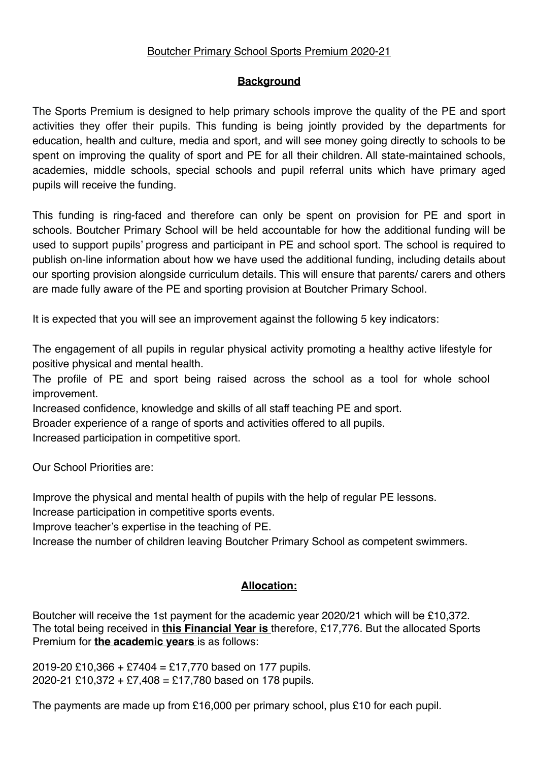# Boutcher Primary School Sports Premium 2020-21

## **Background**

The Sports Premium is designed to help primary schools improve the quality of the PE and sport activities they offer their pupils. This funding is being jointly provided by the departments for education, health and culture, media and sport, and will see money going directly to schools to be spent on improving the quality of sport and PE for all their children. All state-maintained schools, academies, middle schools, special schools and pupil referral units which have primary aged pupils will receive the funding.

This funding is ring-faced and therefore can only be spent on provision for PE and sport in schools. Boutcher Primary School will be held accountable for how the additional funding will be used to support pupils' progress and participant in PE and school sport. The school is required to publish on-line information about how we have used the additional funding, including details about our sporting provision alongside curriculum details. This will ensure that parents/ carers and others are made fully aware of the PE and sporting provision at Boutcher Primary School.

It is expected that you will see an improvement against the following 5 key indicators:

The engagement of all pupils in regular physical activity promoting a healthy active lifestyle for positive physical and mental health.

The profile of PE and sport being raised across the school as a tool for whole school improvement.

Increased confidence, knowledge and skills of all staff teaching PE and sport.

Broader experience of a range of sports and activities offered to all pupils.

Increased participation in competitive sport.

Our School Priorities are:

Improve the physical and mental health of pupils with the help of regular PE lessons.

Increase participation in competitive sports events.

Improve teacher's expertise in the teaching of PE.

Increase the number of children leaving Boutcher Primary School as competent swimmers.

# **Allocation:**

Boutcher will receive the 1st payment for the academic year 2020/21 which will be £10,372. The total being received in **this Financial Year is** therefore, £17,776. But the allocated Sports Premium for **the academic years** is as follows:

2019-20 £10,366 + £7404 = £17,770 based on 177 pupils. 2020-21 £10,372 + £7,408 = £17,780 based on 178 pupils.

The payments are made up from £16,000 per primary school, plus £10 for each pupil.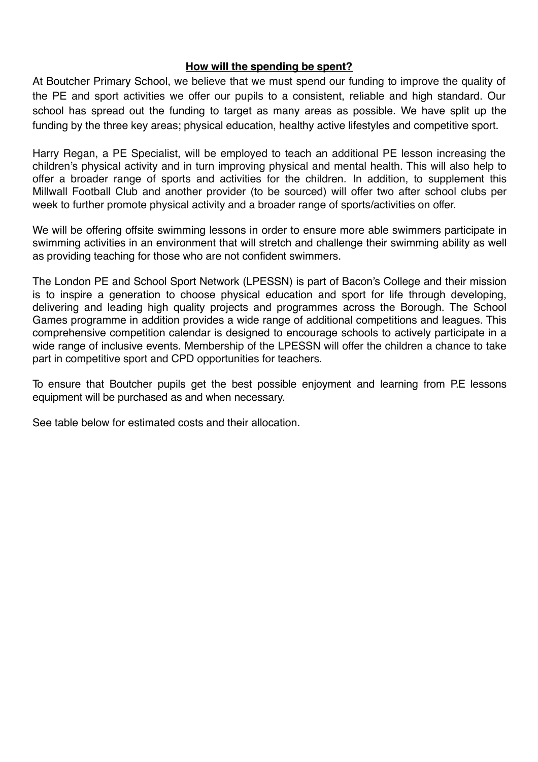### **How will the spending be spent?**

At Boutcher Primary School, we believe that we must spend our funding to improve the quality of the PE and sport activities we offer our pupils to a consistent, reliable and high standard. Our school has spread out the funding to target as many areas as possible. We have split up the funding by the three key areas; physical education, healthy active lifestyles and competitive sport.

Harry Regan, a PE Specialist, will be employed to teach an additional PE lesson increasing the children's physical activity and in turn improving physical and mental health. This will also help to offer a broader range of sports and activities for the children. In addition, to supplement this Millwall Football Club and another provider (to be sourced) will offer two after school clubs per week to further promote physical activity and a broader range of sports/activities on offer.

We will be offering offsite swimming lessons in order to ensure more able swimmers participate in swimming activities in an environment that will stretch and challenge their swimming ability as well as providing teaching for those who are not confident swimmers.

The London PE and School Sport Network (LPESSN) is part of Bacon's College and their mission is to inspire a generation to choose physical education and sport for life through developing, delivering and leading high quality projects and programmes across the Borough. The School Games programme in addition provides a wide range of additional competitions and leagues. This comprehensive competition calendar is designed to encourage schools to actively participate in a wide range of inclusive events. Membership of the LPESSN will offer the children a chance to take part in competitive sport and CPD opportunities for teachers.

To ensure that Boutcher pupils get the best possible enjoyment and learning from P.E lessons equipment will be purchased as and when necessary.

See table below for estimated costs and their allocation.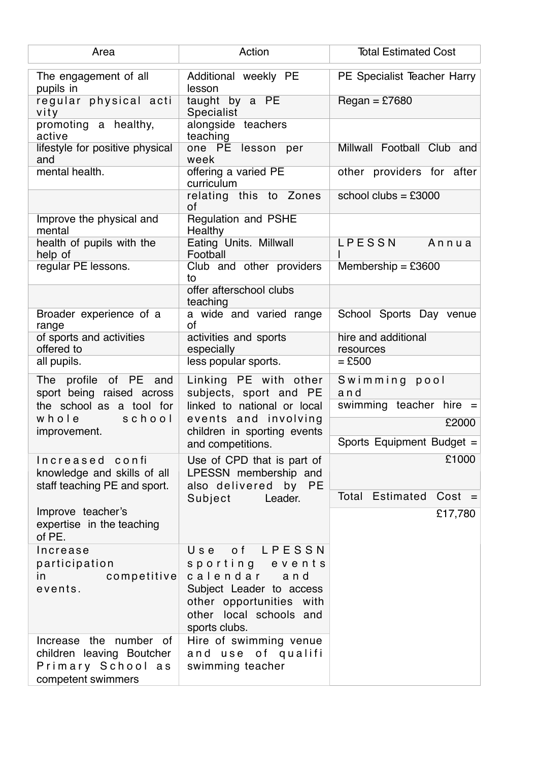| Area                                                                                           | Action                                                                                                                                                     | <b>Total Estimated Cost</b>      |
|------------------------------------------------------------------------------------------------|------------------------------------------------------------------------------------------------------------------------------------------------------------|----------------------------------|
| The engagement of all<br>pupils in                                                             | Additional weekly PE<br>lesson                                                                                                                             | PE Specialist Teacher Harry      |
| regular physical acti<br>vity                                                                  | taught by a PE<br>Specialist                                                                                                                               | $F$ <sub>Regan</sub> = £7680     |
| promoting a healthy,<br>active                                                                 | alongside teachers<br>teaching                                                                                                                             |                                  |
| lifestyle for positive physical<br>and                                                         | one PE lesson per<br>week                                                                                                                                  | Millwall Football Club and       |
| mental health.                                                                                 | offering a varied PE<br>curriculum                                                                                                                         | other providers for after        |
|                                                                                                | relating this to Zones<br>of                                                                                                                               | school clubs = $£3000$           |
| Improve the physical and<br>mental                                                             | Regulation and PSHE<br>Healthy                                                                                                                             |                                  |
| health of pupils with the<br>help of                                                           | Eating Units. Millwall<br>Football                                                                                                                         | LPESSN<br>Annua                  |
| regular PE lessons.                                                                            | Club and other providers<br>to                                                                                                                             | Membership = $£3600$             |
|                                                                                                | offer afterschool clubs<br>teaching                                                                                                                        |                                  |
| Broader experience of a<br>range                                                               | a wide and varied range<br>of                                                                                                                              | School Sports Day venue          |
| of sports and activities<br>offered to                                                         | activities and sports<br>especially                                                                                                                        | hire and additional<br>resources |
| all pupils.                                                                                    | less popular sports.                                                                                                                                       | $=$ £500                         |
| The profile of PE<br>and<br>sport being raised across                                          | Linking PE with other<br>subjects, sport and PE                                                                                                            | Swimming pool<br>and             |
| the school as a tool for                                                                       | linked to national or local                                                                                                                                | swimming teacher hire =          |
| whole<br>school<br>improvement.                                                                | events and involving<br>children in sporting events                                                                                                        | £2000                            |
|                                                                                                | and competitions.                                                                                                                                          | Sports Equipment Budget =        |
| Increased confi<br>knowledge and skills of all<br>staff teaching PE and sport.                 | Use of CPD that is part of<br>LPESSN membership and<br>also delivered by PE<br>Subject<br>Leader.                                                          | £1000                            |
|                                                                                                |                                                                                                                                                            | Total Estimated<br>$Cost =$      |
| Improve teacher's<br>expertise in the teaching<br>of PE.                                       |                                                                                                                                                            | £17,780                          |
| Increase<br>participation<br>competitive<br>in.<br>events.                                     | of LPESSN<br>Use<br>sporting events<br>calendar<br>and<br>Subject Leader to access<br>other opportunities with<br>other local schools and<br>sports clubs. |                                  |
| Increase the number of<br>children leaving Boutcher<br>Primary School as<br>competent swimmers | Hire of swimming venue<br>and use of qualifi<br>swimming teacher                                                                                           |                                  |